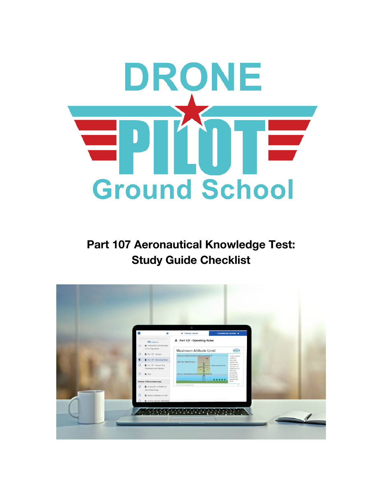

**Part 107 Aeronautical Knowledge Test: Study Guide Checklist** 

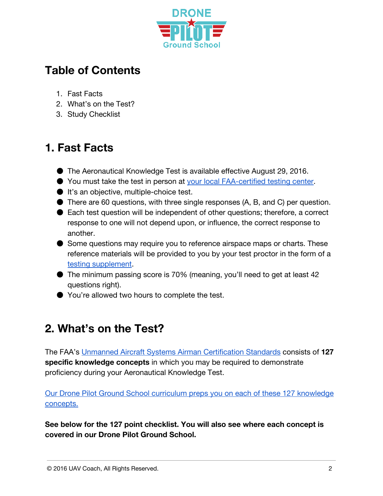

# **Table of Contents**

- 1. Fast Facts
- 2. What's on the Test?
- 3. Study Checklist

# **1. Fast Facts**

- The Aeronautical Knowledge Test is available effective August 29, 2016.
- You must take the test in person at [your local FAA-certified testing center.](http://www.faa.gov/training_testing/testing/media/test_centers.pdf)
- It's an objective, multiple-choice test.
- There are 60 questions, with three single responses (A, B, and C) per question.
- Each test question will be independent of other questions; therefore, a correct response to one will not depend upon, or influence, the correct response to another.
- Some questions may require you to reference airspace maps or charts. These reference materials will be provided to you by your test proctor in the form of a [testing supplement.](https://www.faa.gov/training_testing/testing/test_questions/media/sport_rec_private_akts.pdf)
- The minimum passing score is 70% (meaning, you'll need to get at least 42 questions right).
- You're allowed two hours to complete the test.

# **2. What's on the Test?**

The FAA's [Unmanned Aircraft Systems Airman Certification Standards](http://www.faa.gov/training_testing/testing/acs/media/uas_acs.pdf) consists of **127 specific knowledge concepts** in which you may be required to demonstrate proficiency during your Aeronautical Knowledge Test.

[Our Drone Pilot Ground School curriculum preps you on each of these 127 knowledge](http://dronepilotgroundschool.com/curriculum) [concepts.](http://dronepilotgroundschool.com/curriculum)

**See below for the 127 point checklist. You will also see where each concept is covered in our Drone Pilot Ground School.**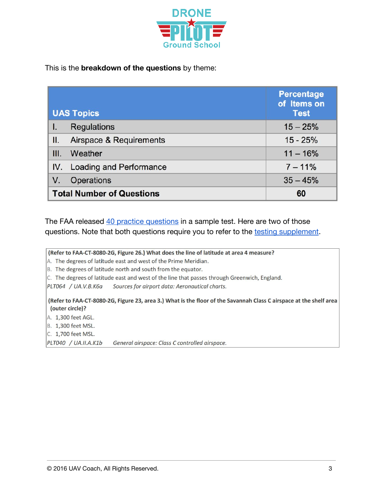

#### This is the **breakdown of the questions** by theme:

| <b>UAS Topics</b>                |                             | <b>Percentage</b><br>of Items on<br><b>Test</b> |
|----------------------------------|-----------------------------|-------------------------------------------------|
|                                  | <b>Regulations</b>          | $15 - 25%$                                      |
| II.                              | Airspace & Requirements     | $15 - 25%$                                      |
| III.                             | Weather                     | $11 - 16%$                                      |
|                                  | IV. Loading and Performance | $7 - 11%$                                       |
| V.                               | <b>Operations</b>           | $35 - 45%$                                      |
| <b>Total Number of Questions</b> |                             | 60                                              |

The FAA released [40 practice questions](https://www.faa.gov/training_testing/testing/test_questions/media/uag_sample_exam.pdf) in a sample test. Here are two of those questions. Note that both questions require you to refer to the [testing supplement.](https://www.faa.gov/training_testing/testing/test_questions/media/sport_rec_private_akts.pdf)

(Refer to FAA-CT-8080-2G, Figure 26.) What does the line of latitude at area 4 measure? A. The degrees of latitude east and west of the Prime Meridian. B. The degrees of latitude north and south from the equator. C. The degrees of latitude east and west of the line that passes through Greenwich, England. PLT064 / UA.V.B.K6a Sources for airport data: Aeronautical charts. (Refer to FAA-CT-8080-2G, Figure 23, area 3.) What is the floor of the Savannah Class C airspace at the shelf area (outer circle)? A. 1,300 feet AGL. B. 1,300 feet MSL. C. 1,700 feet MSL. PLT040 / UA.II.A.K1b General airspace: Class C controlled airspace.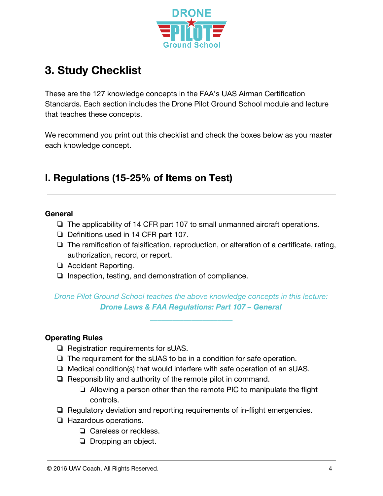

# **3. Study Checklist**

These are the 127 knowledge concepts in the FAA's UAS Airman Certification Standards. Each section includes the Drone Pilot Ground School module and lecture that teaches these concepts.

We recommend you print out this checklist and check the boxes below as you master each knowledge concept.

# **I. Regulations (15-25% of Items on Test)**

#### **General**

- ❏ The applicability of 14 CFR part 107 to small unmanned aircraft operations.
- ❏ Definitions used in 14 CFR part 107.
- ❏ The ramification of falsification, reproduction, or alteration of a certificate, rating, authorization, record, or report.
- ❏ Accident Reporting.
- ❏ Inspection, testing, and demonstration of compliance.

*Drone Pilot Ground School teaches the above knowledge concepts in this lecture: Drone Laws & FAA Regulations: Part 107 – General* 

*\_\_\_\_\_\_\_\_\_\_\_\_\_\_\_\_\_\_\_\_\_\_* 

#### **Operating Rules**

- ❏ Registration requirements for sUAS.
- ❏ The requirement for the sUAS to be in a condition for safe operation.
- ❏ Medical condition(s) that would interfere with safe operation of an sUAS.
- ❏ Responsibility and authority of the remote pilot in command.
	- ❏ Allowing a person other than the remote PIC to manipulate the flight controls.
- ❏ Regulatory deviation and reporting requirements of in-flight emergencies.
- ❏ Hazardous operations.
	- ❏ Careless or reckless.
	- ❏ Dropping an object.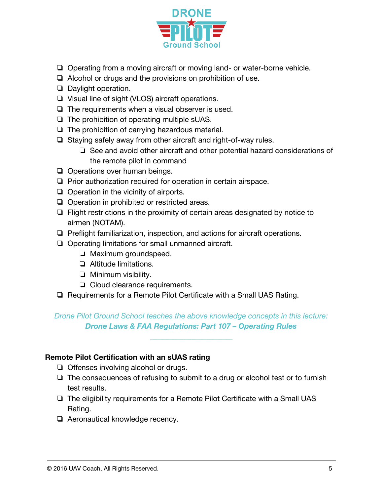

- ❏ Operating from a moving aircraft or moving land- or water-borne vehicle.
- ❏ Alcohol or drugs and the provisions on prohibition of use.
- ❏ Daylight operation.
- ❏ Visual line of sight (VLOS) aircraft operations.
- ❏ The requirements when a visual observer is used.
- ❏ The prohibition of operating multiple sUAS.
- ❏ The prohibition of carrying hazardous material.
- ❏ Staying safely away from other aircraft and right-of-way rules.
	- ❏ See and avoid other aircraft and other potential hazard considerations of the remote pilot in command
- ❏ Operations over human beings.
- ❏ Prior authorization required for operation in certain airspace.
- ❏ Operation in the vicinity of airports.
- ❏ Operation in prohibited or restricted areas.
- ❏ Flight restrictions in the proximity of certain areas designated by notice to airmen (NOTAM).
- ❏ Preflight familiarization, inspection, and actions for aircraft operations.
- ❏ Operating limitations for small unmanned aircraft.
	- ❏ Maximum groundspeed.
	- ❏ Altitude limitations.
	- ❏ Minimum visibility.
	- ❏ Cloud clearance requirements.
- ❏ Requirements for a Remote Pilot Certificate with a Small UAS Rating.

#### *Drone Pilot Ground School teaches the above knowledge concepts in this lecture: Drone Laws & FAA Regulations: Part 107 – Operating Rules*

*\_\_\_\_\_\_\_\_\_\_\_\_\_\_\_\_\_\_\_\_\_\_* 

#### **Remote Pilot Certification with an sUAS rating**

- ❏ Offenses involving alcohol or drugs.
- ❏ The consequences of refusing to submit to a drug or alcohol test or to furnish test results.
- ❏ The eligibility requirements for a Remote Pilot Certificate with a Small UAS Rating.
- ❏ Aeronautical knowledge recency.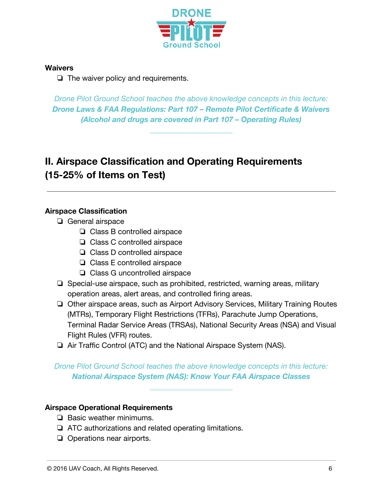

#### **Waivers**

❏ The waiver policy and requirements.

*Drone Pilot Ground School teaches the above knowledge concepts in this lecture: Drone Laws & FAA Regulations: Part 107 – Remote Pilot Certificate & Waivers (Alcohol and drugs are covered in Part 107 – Operating Rules)* 

*\_\_\_\_\_\_\_\_\_\_\_\_\_\_\_\_\_\_\_\_\_\_*

# **II. Airspace Classification and Operating Requirements (15-25% of Items on Test)**

### **Airspace Classification**

- ❏ General airspace
	- ❏ Class B controlled airspace
	- ❏ Class C controlled airspace
	- ❏ Class D controlled airspace
	- ❏ Class E controlled airspace
	- ❏ Class G uncontrolled airspace
- ❏ Special-use airspace, such as prohibited, restricted, warning areas, military operation areas, alert areas, and controlled firing areas.
- ❏ Other airspace areas, such as Airport Advisory Services, Military Training Routes (MTRs), Temporary Flight Restrictions (TFRs), Parachute Jump Operations, Terminal Radar Service Areas (TRSAs), National Security Areas (NSA) and Visual Flight Rules (VFR) routes.
- ❏ Air Traffic Control (ATC) and the National Airspace System (NAS).

### *Drone Pilot Ground School teaches the above knowledge concepts in this lecture: National Airspace System (NAS): Know Your FAA Airspace Classes*

*\_\_\_\_\_\_\_\_\_\_\_\_\_\_\_\_\_\_\_\_\_\_*

#### **Airspace Operational Requirements**

- ❏ Basic weather minimums.
- ❏ ATC authorizations and related operating limitations.
- ❏ Operations near airports.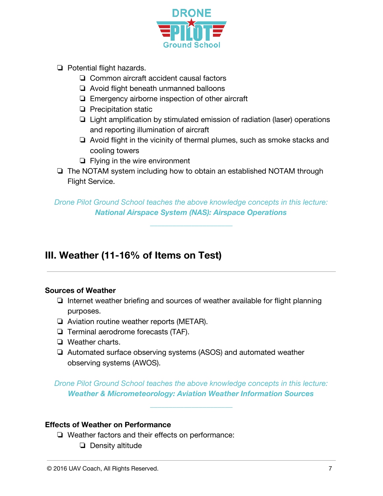

- ❏ Potential flight hazards.
	- ❏ Common aircraft accident causal factors
	- ❏ Avoid flight beneath unmanned balloons
	- ❏ Emergency airborne inspection of other aircraft
	- ❏ Precipitation static
	- ❏ Light amplification by stimulated emission of radiation (laser) operations and reporting illumination of aircraft
	- ❏ Avoid flight in the vicinity of thermal plumes, such as smoke stacks and cooling towers
	- ❏ Flying in the wire environment
- ❏ The NOTAM system including how to obtain an established NOTAM through Flight Service.

*Drone Pilot Ground School teaches the above knowledge concepts in this lecture: National Airspace System (NAS): Airspace Operations*

*\_\_\_\_\_\_\_\_\_\_\_\_\_\_\_\_\_\_\_\_\_\_*

## **III. Weather (11-16% of Items on Test)**

#### **Sources of Weather**

- ❏ Internet weather briefing and sources of weather available for flight planning purposes.
- ❏ Aviation routine weather reports (METAR).
- ❏ Terminal aerodrome forecasts (TAF).
- ❏ Weather charts.
- ❏ Automated surface observing systems (ASOS) and automated weather observing systems (AWOS).

*Drone Pilot Ground School teaches the above knowledge concepts in this lecture: Weather & Micrometeorology: Aviation Weather Information Sources*

*\_\_\_\_\_\_\_\_\_\_\_\_\_\_\_\_\_\_\_\_\_\_*

#### **Effects of Weather on Performance**

- ❏ Weather factors and their effects on performance:
	- ❏ Density altitude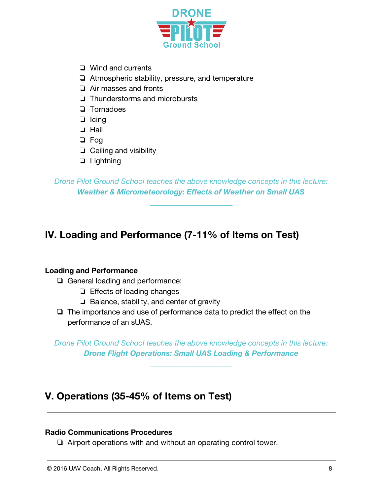

- ❏ Wind and currents
- ❏ Atmospheric stability, pressure, and temperature
- ❏ Air masses and fronts
- ❏ Thunderstorms and microbursts
- ❏ Tornadoes
- ❏ Icing
- ❏ Hail
- ❏ Fog
- ❏ Ceiling and visibility
- ❏ Lightning

*Drone Pilot Ground School teaches the above knowledge concepts in this lecture: Weather & Micrometeorology: Effects of Weather on Small UAS*

*\_\_\_\_\_\_\_\_\_\_\_\_\_\_\_\_\_\_\_\_\_\_*

## **IV. Loading and Performance (7-11% of Items on Test)**

#### **Loading and Performance**

- ❏ General loading and performance:
	- ❏ Effects of loading changes
	- ❏ Balance, stability, and center of gravity
- ❏ The importance and use of performance data to predict the effect on the performance of an sUAS.

*Drone Pilot Ground School teaches the above knowledge concepts in this lecture: Drone Flight Operations: Small UAS Loading & Performance*

*\_\_\_\_\_\_\_\_\_\_\_\_\_\_\_\_\_\_\_\_\_\_*

## **V. Operations (35-45% of Items on Test)**

#### **Radio Communications Procedures**

❏ Airport operations with and without an operating control tower.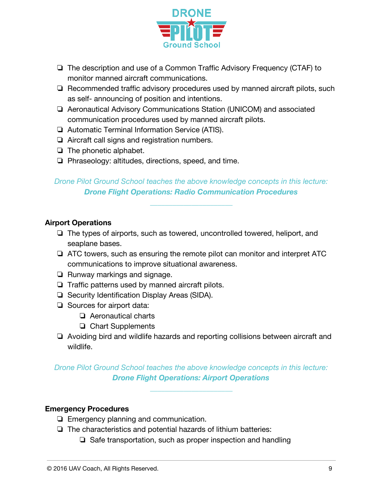

- ❏ The description and use of a Common Traffic Advisory Frequency (CTAF) to monitor manned aircraft communications.
- ❏ Recommended traffic advisory procedures used by manned aircraft pilots, such as self- announcing of position and intentions.
- ❏ Aeronautical Advisory Communications Station (UNICOM) and associated communication procedures used by manned aircraft pilots.
- ❏ Automatic Terminal Information Service (ATIS).
- ❏ Aircraft call signs and registration numbers.
- ❏ The phonetic alphabet.
- ❏ Phraseology: altitudes, directions, speed, and time.

## *Drone Pilot Ground School teaches the above knowledge concepts in this lecture: Drone Flight Operations: Radio Communication Procedures*

*\_\_\_\_\_\_\_\_\_\_\_\_\_\_\_\_\_\_\_\_\_\_*

#### **Airport Operations**

- ❏ The types of airports, such as towered, uncontrolled towered, heliport, and seaplane bases.
- ❏ ATC towers, such as ensuring the remote pilot can monitor and interpret ATC communications to improve situational awareness.
- ❏ Runway markings and signage.
- ❏ Traffic patterns used by manned aircraft pilots.
- ❏ Security Identification Display Areas (SIDA).
- ❏ Sources for airport data:
	- ❏ Aeronautical charts
	- ❏ Chart Supplements
- ❏ Avoiding bird and wildlife hazards and reporting collisions between aircraft and wildlife.

### *Drone Pilot Ground School teaches the above knowledge concepts in this lecture: Drone Flight Operations: Airport Operations*

*\_\_\_\_\_\_\_\_\_\_\_\_\_\_\_\_\_\_\_\_\_\_*

#### **Emergency Procedures**

- ❏ Emergency planning and communication.
- ❏ The characteristics and potential hazards of lithium batteries:
	- ❏ Safe transportation, such as proper inspection and handling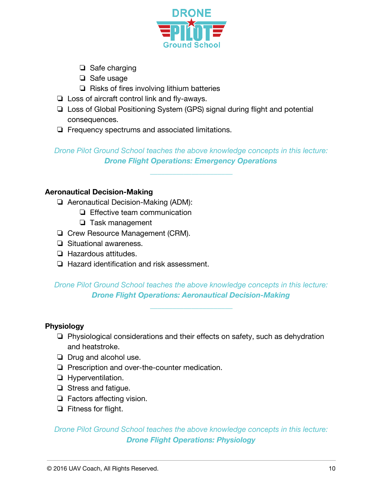

- ❏ Safe charging
- ❏ Safe usage
- ❏ Risks of fires involving lithium batteries
- ❏ Loss of aircraft control link and fly-aways.
- ❏ Loss of Global Positioning System (GPS) signal during flight and potential consequences.
- ❏ Frequency spectrums and associated limitations.

*Drone Pilot Ground School teaches the above knowledge concepts in this lecture: Drone Flight Operations: Emergency Operations*

*\_\_\_\_\_\_\_\_\_\_\_\_\_\_\_\_\_\_\_\_\_\_*

#### **Aeronautical Decision-Making**

- ❏ Aeronautical Decision-Making (ADM):
	- ❏ Effective team communication
	- ❏ Task management
- ❏ Crew Resource Management (CRM).
- ❏ Situational awareness.
- ❏ Hazardous attitudes.
- ❏ Hazard identification and risk assessment.

### *Drone Pilot Ground School teaches the above knowledge concepts in this lecture: Drone Flight Operations: Aeronautical Decision-Making*

*\_\_\_\_\_\_\_\_\_\_\_\_\_\_\_\_\_\_\_\_\_\_*

#### **Physiology**

- ❏ Physiological considerations and their effects on safety, such as dehydration and heatstroke.
- ❏ Drug and alcohol use.
- ❏ Prescription and over-the-counter medication.
- ❏ Hyperventilation.
- ❏ Stress and fatigue.
- ❏ Factors affecting vision.
- ❏ Fitness for flight.

### *Drone Pilot Ground School teaches the above knowledge concepts in this lecture: Drone Flight Operations: Physiology*